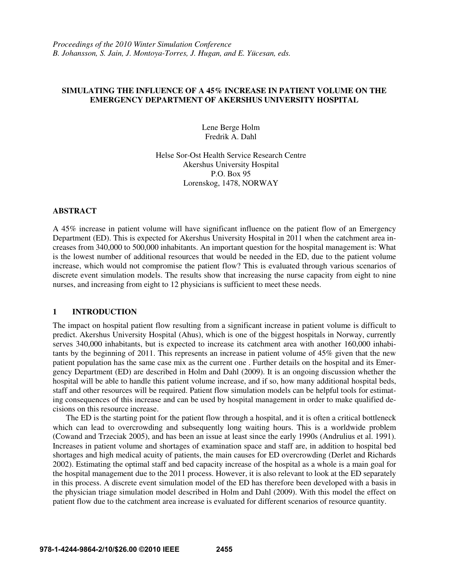## **SIMULATING THE INFLUENCE OF A 45% INCREASE IN PATIENT VOLUME ON THE EMERGENCY DEPARTMENT OF AKERSHUS UNIVERSITY HOSPITAL**

Lene Berge Holm Fredrik A. Dahl

Helse Sor-Ost Health Service Research Centre Akershus University Hospital P.O. Box 95 Lorenskog, 1478, NORWAY

### **ABSTRACT**

A 45% increase in patient volume will have significant influence on the patient flow of an Emergency Department (ED). This is expected for Akershus University Hospital in 2011 when the catchment area increases from 340,000 to 500,000 inhabitants. An important question for the hospital management is: What is the lowest number of additional resources that would be needed in the ED, due to the patient volume increase, which would not compromise the patient flow? This is evaluated through various scenarios of discrete event simulation models. The results show that increasing the nurse capacity from eight to nine nurses, and increasing from eight to 12 physicians is sufficient to meet these needs.

#### **1 INTRODUCTION**

The impact on hospital patient flow resulting from a significant increase in patient volume is difficult to predict. Akershus University Hospital (Ahus), which is one of the biggest hospitals in Norway, currently serves 340,000 inhabitants, but is expected to increase its catchment area with another 160,000 inhabitants by the beginning of 2011. This represents an increase in patient volume of 45% given that the new patient population has the same case mix as the current one . Further details on the hospital and its Emergency Department (ED) are described in Holm and Dahl (2009). It is an ongoing discussion whether the hospital will be able to handle this patient volume increase, and if so, how many additional hospital beds, staff and other resources will be required. Patient flow simulation models can be helpful tools for estimating consequences of this increase and can be used by hospital management in order to make qualified decisions on this resource increase.

The ED is the starting point for the patient flow through a hospital, and it is often a critical bottleneck which can lead to overcrowding and subsequently long waiting hours. This is a worldwide problem (Cowand and Trzeciak 2005), and has been an issue at least since the early 1990s (Andrulius et al. 1991). Increases in patient volume and shortages of examination space and staff are, in addition to hospital bed shortages and high medical acuity of patients, the main causes for ED overcrowding (Derlet and Richards 2002). Estimating the optimal staff and bed capacity increase of the hospital as a whole is a main goal for the hospital management due to the 2011 process. However, it is also relevant to look at the ED separately in this process. A discrete event simulation model of the ED has therefore been developed with a basis in the physician triage simulation model described in Holm and Dahl (2009). With this model the effect on patient flow due to the catchment area increase is evaluated for different scenarios of resource quantity.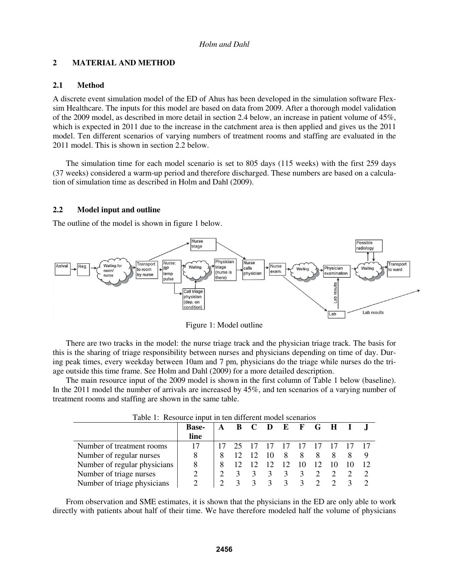# **2 MATERIAL AND METHOD**

## **2.1 Method**

A discrete event simulation model of the ED of Ahus has been developed in the simulation software Flexsim Healthcare. The inputs for this model are based on data from 2009. After a thorough model validation of the 2009 model, as described in more detail in section 2.4 below, an increase in patient volume of 45%, which is expected in 2011 due to the increase in the catchment area is then applied and gives us the 2011 model. Ten different scenarios of varying numbers of treatment rooms and staffing are evaluated in the 2011 model. This is shown in section 2.2 below.

 The simulation time for each model scenario is set to 805 days (115 weeks) with the first 259 days (37 weeks) considered a warm-up period and therefore discharged. These numbers are based on a calculation of simulation time as described in Holm and Dahl (2009).

## **2.2 Model input and outline**

The outline of the model is shown in figure 1 below.



Figure 1: Model outline

 There are two tracks in the model: the nurse triage track and the physician triage track. The basis for this is the sharing of triage responsibility between nurses and physicians depending on time of day. During peak times, every weekday between 10am and 7 pm, physicians do the triage while nurses do the triage outside this time frame. See Holm and Dahl (2009) for a more detailed description.

 The main resource input of the 2009 model is shown in the first column of Table 1 below (baseline). In the 2011 model the number of arrivals are increased by 45%, and ten scenarios of a varying number of treatment rooms and staffing are shown in the same table.

| Table 1. Resource liiput in ten unterent model scenarios |              |   |                 |                 |                 |             |     |               |      |      |  |
|----------------------------------------------------------|--------------|---|-----------------|-----------------|-----------------|-------------|-----|---------------|------|------|--|
|                                                          | <b>Base-</b> | A | B C             |                 | D               | EFGHI       |     |               |      |      |  |
|                                                          | line         |   |                 |                 |                 |             |     |               |      |      |  |
| Number of treatment rooms                                | 17           |   | -25             | - 17            | -17             | 17 17 17 17 |     |               |      | - 17 |  |
| Number of regular nurses                                 | 8            |   |                 | 12              | 10              | 8           | 8   | 8             | 8    |      |  |
| Number of regular physicians                             | 8            |   | $\overline{12}$ | $\overline{12}$ | $\overline{12}$ | - 12        | -10 | <sup>12</sup> | - 10 |      |  |
| Number of triage nurses                                  |              |   | $\mathcal{R}$   | 3               | $\mathcal{R}$   | 3           | 3   |               |      |      |  |
| Number of triage physicians                              |              |   | κ               | $\mathbf{z}$    | $\mathbf{z}$    | 3           | 3   |               |      |      |  |

Table 1: Resource input in ten different model scenarios

 From observation and SME estimates, it is shown that the physicians in the ED are only able to work directly with patients about half of their time. We have therefore modeled half the volume of physicians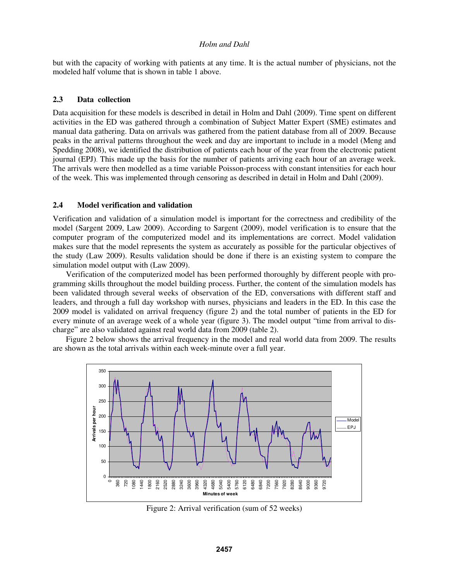but with the capacity of working with patients at any time. It is the actual number of physicians, not the modeled half volume that is shown in table 1 above.

### **2.3 Data collection**

Data acquisition for these models is described in detail in Holm and Dahl (2009). Time spent on different activities in the ED was gathered through a combination of Subject Matter Expert (SME) estimates and manual data gathering. Data on arrivals was gathered from the patient database from all of 2009. Because peaks in the arrival patterns throughout the week and day are important to include in a model (Meng and Spedding 2008), we identified the distribution of patients each hour of the year from the electronic patient journal (EPJ). This made up the basis for the number of patients arriving each hour of an average week. The arrivals were then modelled as a time variable Poisson-process with constant intensities for each hour of the week. This was implemented through censoring as described in detail in Holm and Dahl (2009).

### **2.4 Model verification and validation**

Verification and validation of a simulation model is important for the correctness and credibility of the model (Sargent 2009, Law 2009). According to Sargent (2009), model verification is to ensure that the computer program of the computerized model and its implementations are correct. Model validation makes sure that the model represents the system as accurately as possible for the particular objectives of the study (Law 2009). Results validation should be done if there is an existing system to compare the simulation model output with (Law 2009).

 Verification of the computerized model has been performed thoroughly by different people with programming skills throughout the model building process. Further, the content of the simulation models has been validated through several weeks of observation of the ED, conversations with different staff and leaders, and through a full day workshop with nurses, physicians and leaders in the ED. In this case the 2009 model is validated on arrival frequency (figure 2) and the total number of patients in the ED for every minute of an average week of a whole year (figure 3). The model output "time from arrival to discharge" are also validated against real world data from 2009 (table 2).

 Figure 2 below shows the arrival frequency in the model and real world data from 2009. The results are shown as the total arrivals within each week-minute over a full year.



Figure 2: Arrival verification (sum of 52 weeks)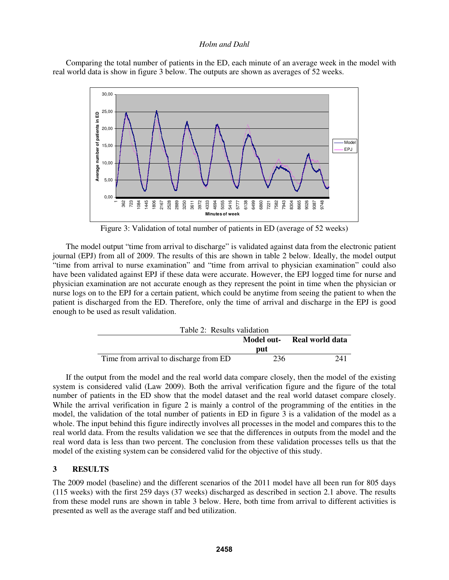Comparing the total number of patients in the ED, each minute of an average week in the model with real world data is show in figure 3 below. The outputs are shown as averages of 52 weeks.



Figure 3: Validation of total number of patients in ED (average of 52 weeks)

 The model output "time from arrival to discharge" is validated against data from the electronic patient journal (EPJ) from all of 2009. The results of this are shown in table 2 below. Ideally, the model output "time from arrival to nurse examination" and "time from arrival to physician examination" could also have been validated against EPJ if these data were accurate. However, the EPJ logged time for nurse and physician examination are not accurate enough as they represent the point in time when the physician or nurse logs on to the EPJ for a certain patient, which could be anytime from seeing the patient to when the patient is discharged from the ED. Therefore, only the time of arrival and discharge in the EPJ is good enough to be used as result validation.

| Table 2: Results validation            |            |                 |  |  |  |  |  |  |
|----------------------------------------|------------|-----------------|--|--|--|--|--|--|
|                                        | Model out- | Real world data |  |  |  |  |  |  |
|                                        | put        |                 |  |  |  |  |  |  |
| Time from arrival to discharge from ED | 236        | 241             |  |  |  |  |  |  |

 If the output from the model and the real world data compare closely, then the model of the existing system is considered valid (Law 2009). Both the arrival verification figure and the figure of the total number of patients in the ED show that the model dataset and the real world dataset compare closely. While the arrival verification in figure 2 is mainly a control of the programming of the entities in the model, the validation of the total number of patients in ED in figure 3 is a validation of the model as a whole. The input behind this figure indirectly involves all processes in the model and compares this to the real world data. From the results validation we see that the differences in outputs from the model and the real word data is less than two percent. The conclusion from these validation processes tells us that the model of the existing system can be considered valid for the objective of this study.

## **3 RESULTS**

The 2009 model (baseline) and the different scenarios of the 2011 model have all been run for 805 days (115 weeks) with the first 259 days (37 weeks) discharged as described in section 2.1 above. The results from these model runs are shown in table 3 below. Here, both time from arrival to different activities is presented as well as the average staff and bed utilization.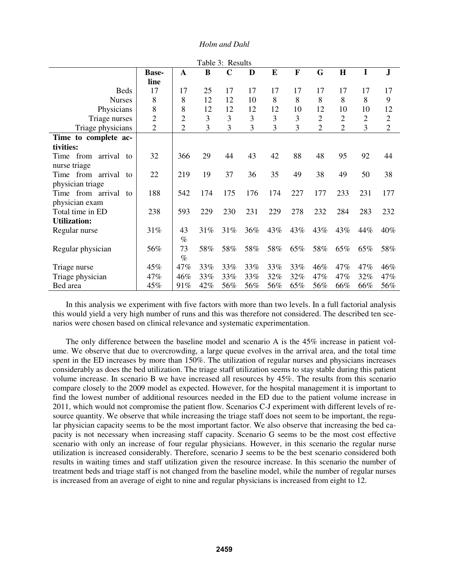| Table 3: Results                    |                |                |     |             |     |     |             |                |                |     |                |
|-------------------------------------|----------------|----------------|-----|-------------|-----|-----|-------------|----------------|----------------|-----|----------------|
|                                     | <b>Base-</b>   | A              | B   | $\mathbf C$ | D   | E   | $\mathbf F$ | G              | H              | I   | ${\bf J}$      |
|                                     | line           |                |     |             |     |     |             |                |                |     |                |
| <b>Beds</b>                         | 17             | 17             | 25  | 17          | 17  | 17  | 17          | 17             | 17             | 17  | 17             |
| <b>Nurses</b>                       | 8              | 8              | 12  | 12          | 10  | 8   | 8           | 8              | 8              | 8   | 9              |
| Physicians                          | 8              | 8              | 12  | 12          | 12  | 12  | 10          | 12             | 10             | 10  | 12             |
| Triage nurses                       | $\overline{2}$ | $\overline{c}$ | 3   | 3           | 3   | 3   | 3           | $\overline{2}$ | 2              | 2   | $\overline{2}$ |
| Triage physicians                   | $\overline{2}$ | $\overline{2}$ | 3   | 3           | 3   | 3   | 3           | $\overline{2}$ | $\overline{2}$ | 3   | $\sqrt{2}$     |
| Time to complete ac-                |                |                |     |             |     |     |             |                |                |     |                |
| tivities:                           |                |                |     |             |     |     |             |                |                |     |                |
| from<br>arrival<br>Time<br>to       | 32             | 366            | 29  | 44          | 43  | 42  | 88          | 48             | 95             | 92  | 44             |
| nurse triage                        |                |                |     |             |     |     |             |                |                |     |                |
| Time from arrival<br>$\overline{f}$ | 22             | 219            | 19  | 37          | 36  | 35  | 49          | 38             | 49             | 50  | 38             |
| physician triage                    |                |                |     |             |     |     |             |                |                |     |                |
| Time from arrival<br>to             | 188            | 542            | 174 | 175         | 176 | 174 | 227         | 177            | 233            | 231 | 177            |
| physician exam                      |                |                |     |             |     |     |             |                |                |     |                |
| Total time in ED                    | 238            | 593            | 229 | 230         | 231 | 229 | 278         | 232            | 284            | 283 | 232            |
| <b>Utilization:</b>                 |                |                |     |             |     |     |             |                |                |     |                |
| Regular nurse                       | 31%            | 43             | 31% | 31%         | 36% | 43% | 43%         | 43%            | 43%            | 44% | 40%            |
|                                     |                | $\%$           |     |             |     |     |             |                |                |     |                |
| Regular physician                   | 56%            | 73             | 58% | 58%         | 58% | 58% | 65%         | 58%            | 65%            | 65% | 58%            |
|                                     |                | $\%$           |     |             |     |     |             |                |                |     |                |
| Triage nurse                        | 45%            | 47%            | 33% | 33%         | 33% | 33% | 33%         | 46%            | 47%            | 47% | 46%            |
| Triage physician                    | 47%            | 46%            | 33% | 33%         | 33% | 32% | 32%         | 47%            | 47%            | 32% | 47%            |
| Bed area                            | 45%            | 91%            | 42% | 56%         | 56% | 56% | 65%         | 56%            | 66%            | 66% | 56%            |

*Holm and Dahl* 

 In this analysis we experiment with five factors with more than two levels. In a full factorial analysis this would yield a very high number of runs and this was therefore not considered. The described ten scenarios were chosen based on clinical relevance and systematic experimentation.

 The only difference between the baseline model and scenario A is the 45% increase in patient volume. We observe that due to overcrowding, a large queue evolves in the arrival area, and the total time spent in the ED increases by more than 150%. The utilization of regular nurses and physicians increases considerably as does the bed utilization. The triage staff utilization seems to stay stable during this patient volume increase. In scenario B we have increased all resources by 45%. The results from this scenario compare closely to the 2009 model as expected. However, for the hospital management it is important to find the lowest number of additional resources needed in the ED due to the patient volume increase in 2011, which would not compromise the patient flow. Scenarios C-J experiment with different levels of resource quantity. We observe that while increasing the triage staff does not seem to be important, the regular physician capacity seems to be the most important factor. We also observe that increasing the bed capacity is not necessary when increasing staff capacity. Scenario G seems to be the most cost effective scenario with only an increase of four regular physicians. However, in this scenario the regular nurse utilization is increased considerably. Therefore, scenario J seems to be the best scenario considered both results in waiting times and staff utilization given the resource increase. In this scenario the number of treatment beds and triage staff is not changed from the baseline model, while the number of regular nurses is increased from an average of eight to nine and regular physicians is increased from eight to 12.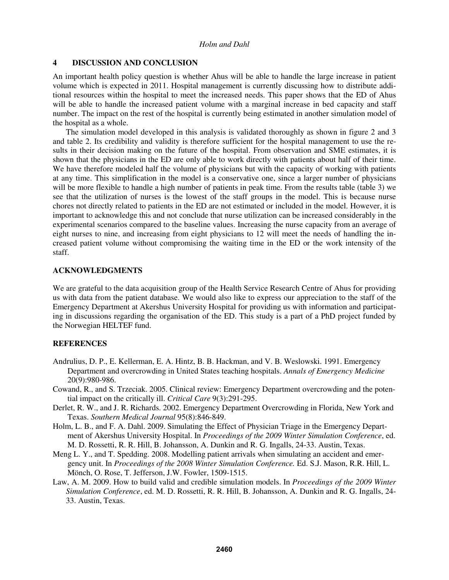### **4 DISCUSSION AND CONCLUSION**

An important health policy question is whether Ahus will be able to handle the large increase in patient volume which is expected in 2011. Hospital management is currently discussing how to distribute additional resources within the hospital to meet the increased needs. This paper shows that the ED of Ahus will be able to handle the increased patient volume with a marginal increase in bed capacity and staff number. The impact on the rest of the hospital is currently being estimated in another simulation model of the hospital as a whole.

 The simulation model developed in this analysis is validated thoroughly as shown in figure 2 and 3 and table 2. Its credibility and validity is therefore sufficient for the hospital management to use the results in their decision making on the future of the hospital. From observation and SME estimates, it is shown that the physicians in the ED are only able to work directly with patients about half of their time. We have therefore modeled half the volume of physicians but with the capacity of working with patients at any time. This simplification in the model is a conservative one, since a larger number of physicians will be more flexible to handle a high number of patients in peak time. From the results table (table 3) we see that the utilization of nurses is the lowest of the staff groups in the model. This is because nurse chores not directly related to patients in the ED are not estimated or included in the model. However, it is important to acknowledge this and not conclude that nurse utilization can be increased considerably in the experimental scenarios compared to the baseline values. Increasing the nurse capacity from an average of eight nurses to nine, and increasing from eight physicians to 12 will meet the needs of handling the increased patient volume without compromising the waiting time in the ED or the work intensity of the staff.

#### **ACKNOWLEDGMENTS**

We are grateful to the data acquisition group of the Health Service Research Centre of Ahus for providing us with data from the patient database. We would also like to express our appreciation to the staff of the Emergency Department at Akershus University Hospital for providing us with information and participating in discussions regarding the organisation of the ED. This study is a part of a PhD project funded by the Norwegian HELTEF fund.

## **REFERENCES**

- Andrulius, D. P., E. Kellerman, E. A. Hintz, B. B. Hackman, and V. B. Weslowski. 1991. Emergency Department and overcrowding in United States teaching hospitals. *Annals of Emergency Medicine*  20(9):980-986.
- Cowand, R., and S. Trzeciak. 2005. Clinical review: Emergency Department overcrowding and the potential impact on the critically ill. *Critical Care* 9(3):291-295.
- Derlet, R. W., and J. R. Richards. 2002. Emergency Department Overcrowding in Florida, New York and Texas. *Southern Medical Journal* 95(8):846-849.
- Holm, L. B., and F. A. Dahl. 2009. Simulating the Effect of Physician Triage in the Emergency Department of Akershus University Hospital. In *Proceedings of the 2009 Winter Simulation Conference*, ed. M. D. Rossetti, R. R. Hill, B. Johansson, A. Dunkin and R. G. Ingalls, 24-33. Austin, Texas.
- Meng L. Y., and T. Spedding. 2008. Modelling patient arrivals when simulating an accident and emergency unit. In *Proceedings of the 2008 Winter Simulation Conference.* Ed. S.J. Mason, R.R. Hill, L. Mönch, O. Rose, T. Jefferson, J.W. Fowler, 1509-1515.
- Law, A. M. 2009. How to build valid and credible simulation models. In *Proceedings of the 2009 Winter Simulation Conference*, ed. M. D. Rossetti, R. R. Hill, B. Johansson, A. Dunkin and R. G. Ingalls, 24- 33. Austin, Texas.